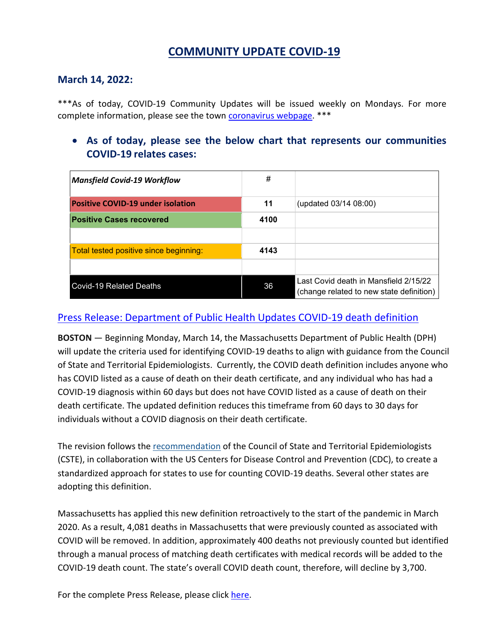# **COMMUNITY UPDATE COVID-19**

#### **March 14, 2022:**

\*\*\*As of today, COVID-19 Community Updates will be issued weekly on Mondays. For more complete information, please see the town [coronavirus](https://www.mansfieldma.com/536/Coronavirus-Information) webpage. \*\*\*

• **As of today, please see the below chart that represents our communities COVID-19 relates cases:**

| <b>Mansfield Covid-19 Workflow</b>       | #    |                                                                                   |
|------------------------------------------|------|-----------------------------------------------------------------------------------|
| <b>Positive COVID-19 under isolation</b> | 11   | (updated 03/14 08:00)                                                             |
| <b>Positive Cases recovered</b>          | 4100 |                                                                                   |
|                                          |      |                                                                                   |
| Total tested positive since beginning:   | 4143 |                                                                                   |
|                                          |      |                                                                                   |
| <b>Covid-19 Related Deaths</b>           | 36   | Last Covid death in Mansfield 2/15/22<br>(change related to new state definition) |

### [Press Release: Department of Public Health Updates COVID-19 death definition](https://www.mass.gov/news/department-of-public-health-updates-covid-19-death-definition)

**BOSTON** — Beginning Monday, March 14, the Massachusetts Department of Public Health (DPH) will update the criteria used for identifying COVID-19 deaths to align with guidance from the Council of State and Territorial Epidemiologists. Currently, the COVID death definition includes anyone who has COVID listed as a cause of death on their death certificate, and any individual who has had a COVID-19 diagnosis within 60 days but does not have COVID listed as a cause of death on their death certificate. The updated definition reduces this timeframe from 60 days to 30 days for individuals without a COVID diagnosis on their death certificate.

The revision follows the [recommendation](https://cdn.ymaws.com/www.cste.org/resource/resmgr/pdfs/pdfs2/20211222_interim-guidance.pdf) of the Council of State and Territorial Epidemiologists (CSTE), in collaboration with the US Centers for Disease Control and Prevention (CDC), to create a standardized approach for states to use for counting COVID-19 deaths. Several other states are adopting this definition.

Massachusetts has applied this new definition retroactively to the start of the pandemic in March 2020. As a result, 4,081 deaths in Massachusetts that were previously counted as associated with COVID will be removed. In addition, approximately 400 deaths not previously counted but identified through a manual process of matching death certificates with medical records will be added to the COVID-19 death count. The state's overall COVID death count, therefore, will decline by 3,700.

For the complete Press Release, please click [here.](https://www.mass.gov/news/department-of-public-health-updates-covid-19-death-definition)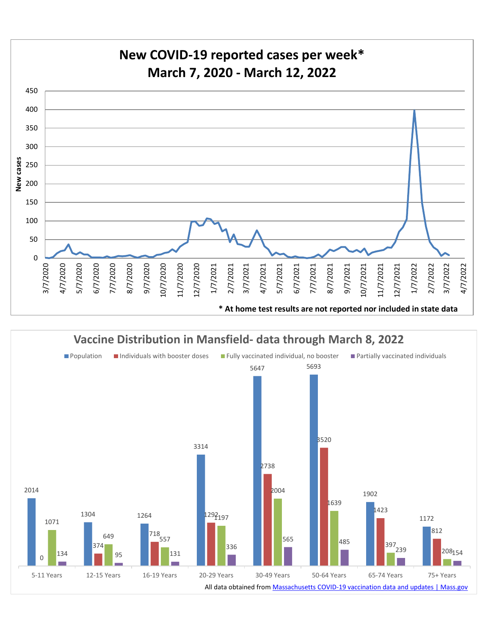

**Vaccine Distribution in Mansfield- data through March 8, 2022**

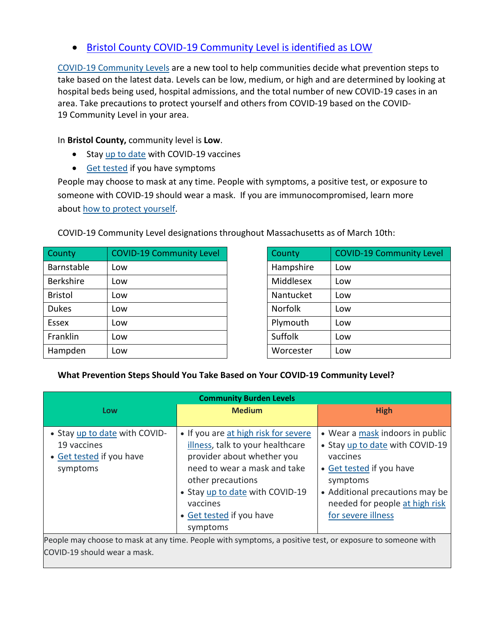## • [Bristol County COVID-19 Community Level is identified as LOW](https://www.cdc.gov/coronavirus/2019-ncov/your-health/covid-by-county.html?ACSTrackingID=USCDC_2145-DM76655&ACSTrackingLabel=02.25.2022%20-%20COVID-19%20Data%20Tracker%20Weekly%20Review&deliveryName=USCDC_2145-DM76655)

[COVID-19 Community Levels](https://www.cdc.gov/coronavirus/2019-ncov/science/community-levels.html) are a new tool to help communities decide what prevention steps to take based on the latest data. Levels can be low, medium, or high and are determined by looking at hospital beds being used, hospital admissions, and the total number of new COVID-19 cases in an area. Take precautions to protect yourself and others from COVID-19 based on the COVID-19 Community Level in your area.

In **Bristol County,** community level is **Low**.

- Stay [up to date](https://www.cdc.gov/coronavirus/2019-ncov/vaccines/stay-up-to-date.html) with COVID-19 vaccines
- [Get tested](https://www.cdc.gov/coronavirus/2019-ncov/testing/diagnostic-testing.html) if you have symptoms

People may choose to mask at any time. People with symptoms, a positive test, or exposure to someone with COVID-19 should wear a mask. If you are immunocompromised, learn more about how to [protect yourself.](https://www.cdc.gov/coronavirus/2019-ncov/science/community-levels.html#anchor_47145)

| County           | <b>COVID-19 Community Level</b> | County         |  |
|------------------|---------------------------------|----------------|--|
| Barnstable       | Low                             | Hampshire      |  |
| <b>Berkshire</b> | Low                             | Middlesex      |  |
| <b>Bristol</b>   | Low                             | Nantucket      |  |
| <b>Dukes</b>     | Low                             | <b>Norfolk</b> |  |
| Essex            | Low                             | Plymouth       |  |
| Franklin         | Low                             | Suffolk        |  |
| Hampden          | Low                             | Worcester      |  |

| County           | <b>COVID-19 Community Level</b> | County         | <b>COVID-19 Community Level</b> |
|------------------|---------------------------------|----------------|---------------------------------|
| Barnstable       | Low                             | Hampshire      | Low                             |
| <b>Berkshire</b> | Low                             | Middlesex      | Low                             |
| <b>Bristol</b>   | Low                             | Nantucket      | Low                             |
| <b>Dukes</b>     | Low                             | <b>Norfolk</b> | Low                             |
| <b>Essex</b>     | Low                             | Plymouth       | Low                             |
| Franklin         | Low                             | Suffolk        | Low                             |
| Hampden          | Low                             | Worcester      | Low                             |

#### **What Prevention Steps Should You Take Based on Your COVID-19 Community Level?**

| <b>Community Burden Levels</b>                                                       |                                                                                                                                                                                                                                                    |                                                                                                                                                                                                                   |  |  |  |  |
|--------------------------------------------------------------------------------------|----------------------------------------------------------------------------------------------------------------------------------------------------------------------------------------------------------------------------------------------------|-------------------------------------------------------------------------------------------------------------------------------------------------------------------------------------------------------------------|--|--|--|--|
| Low                                                                                  | <b>Medium</b>                                                                                                                                                                                                                                      | <b>High</b>                                                                                                                                                                                                       |  |  |  |  |
| • Stay up to date with COVID-<br>19 vaccines<br>• Get tested if you have<br>symptoms | • If you are at high risk for severe<br>illness, talk to your healthcare<br>provider about whether you<br>need to wear a mask and take<br>other precautions<br>• Stay up to date with COVID-19<br>vaccines<br>• Get tested if you have<br>symptoms | • Wear a mask indoors in public<br>• Stay up to date with COVID-19<br>vaccines<br>• Get tested if you have<br>symptoms<br>• Additional precautions may be<br>needed for people at high risk<br>for severe illness |  |  |  |  |
| COVID-19 should wear a mask.                                                         | People may choose to mask at any time. People with symptoms, a positive test, or exposure to someone with                                                                                                                                          |                                                                                                                                                                                                                   |  |  |  |  |

COVID-19 Community Level designations throughout Massachusetts as of March 10th: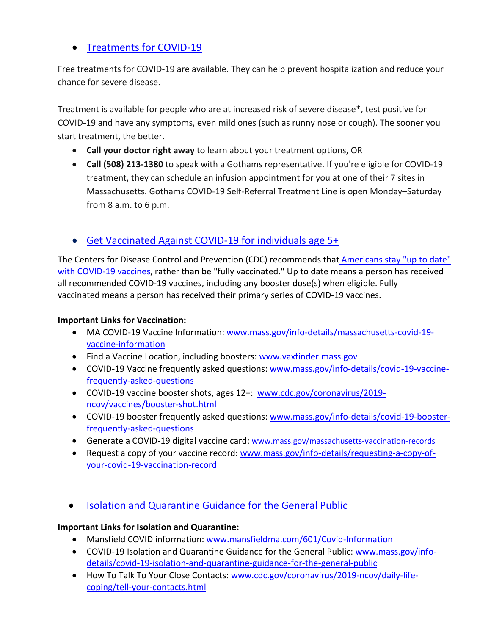# • [Treatments for COVID-19](https://www.mass.gov/info-details/treatments-for-covid-19)

Free treatments for COVID-19 are available. They can help prevent hospitalization and reduce your chance for severe disease.

Treatment is available for people who are at increased risk of severe disease\*, test positive for COVID-19 and have any symptoms, even mild ones (such as runny nose or cough). The sooner you start treatment, the better.

- **Call your doctor right away** to learn about your treatment options, OR
- **Call (508) 213-1380** to speak with a Gothams representative. If you're eligible for COVID-19 treatment, they can schedule an infusion appointment for you at one of their 7 sites in Massachusetts. Gothams COVID-19 Self-Referral Treatment Line is open Monday–Saturday from 8 a.m. to 6 p.m.

# • [Get Vaccinated Against COVID-19](https://www.mass.gov/covid-19-vaccine) for individuals age 5+

The Centers for Disease Control and Prevention (CDC) recommends that **Americans stay "up to date"** [with COVID-19 vaccines,](https://www.cdc.gov/coronavirus/2019-ncov/vaccines/stay-up-to-date.html) rather than be "fully vaccinated." Up to date means a person has received all recommended COVID-19 vaccines, including any booster dose(s) when eligible. Fully vaccinated means a person has received their primary series of COVID-19 vaccines.

### **Important Links for Vaccination:**

- MA COVID-19 Vaccine Information: [www.mass.gov/info-details/massachusetts-covid-19](http://www.mass.gov/info-details/massachusetts-covid-19-vaccine-information) [vaccine-information](http://www.mass.gov/info-details/massachusetts-covid-19-vaccine-information)
- Find a Vaccine Location, including boosters: [www.vaxfinder.mass.gov](http://www.vaxfinder.mass.gov/)
- COVID-19 Vaccine frequently asked questions: [www.mass.gov/info-details/covid-19-vaccine](http://www.mass.gov/info-details/covid-19-vaccine-frequently-asked-questions)[frequently-asked-questions](http://www.mass.gov/info-details/covid-19-vaccine-frequently-asked-questions)
- COVID-19 vaccine booster shots, ages 12+: [www.cdc.gov/coronavirus/2019](http://www.cdc.gov/coronavirus/2019-ncov/vaccines/booster-shot.html) [ncov/vaccines/booster-shot.html](http://www.cdc.gov/coronavirus/2019-ncov/vaccines/booster-shot.html)
- COVID-19 booster frequently asked questions: [www.mass.gov/info-details/covid-19-booster](http://www.mass.gov/info-details/covid-19-booster-frequently-asked-questions)[frequently-asked-questions](http://www.mass.gov/info-details/covid-19-booster-frequently-asked-questions)
- Generate a COVID-19 digital vaccine card: [www.mass.gov/massachusetts-vaccination-records](http://www.mass.gov/massachusetts-vaccination-records)
- Request a copy of your vaccine record: [www.mass.gov/info-details/requesting-a-copy-of](http://www.mass.gov/info-details/requesting-a-copy-of-your-covid-19-vaccination-record)[your-covid-19-vaccination-record](http://www.mass.gov/info-details/requesting-a-copy-of-your-covid-19-vaccination-record)
- [Isolation and Quarantine Guidance for the General Public](https://www.mass.gov/info-details/isolation-and-quarantine-guidance-for-the-general-public)

### **Important Links for Isolation and Quarantine:**

- Mansfield COVID information: [www.mansfieldma.com/601/Covid-Information](http://www.mansfieldma.com/601/Covid-Information)
- COVID-19 Isolation and Quarantine Guidance for the General Public: [www.mass.gov/info](http://www.mass.gov/info-details/covid-19-isolation-and-quarantine-guidance-for-the-general-public)[details/covid-19-isolation-and-quarantine-guidance-for-the-general-public](http://www.mass.gov/info-details/covid-19-isolation-and-quarantine-guidance-for-the-general-public)
- How To Talk To Your Close Contacts: [www.cdc.gov/coronavirus/2019-ncov/daily-life](http://www.cdc.gov/coronavirus/2019-ncov/daily-life-coping/tell-your-contacts.html)[coping/tell-your-contacts.html](http://www.cdc.gov/coronavirus/2019-ncov/daily-life-coping/tell-your-contacts.html)